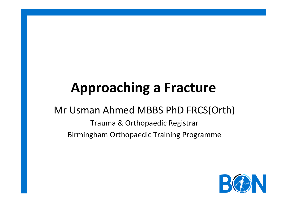# **Approaching a Fracture**

#### Mr Usman Ahmed MBBS PhD FRCS(Orth)

Trauma & Orthopaedic Registrar Birmingham Orthopaedic Training Programme 

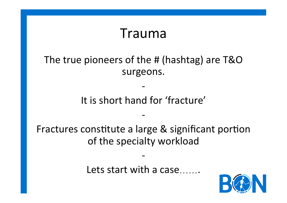### Trauma

#### The true pioneers of the # (hashtag) are T&O surgeons.

#### It is short hand for 'fracture'

- 

- 

Fractures constitute a large & significant portion of the specialty workload

- 

Lets start with a case

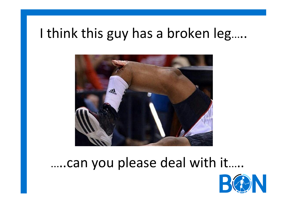## I think this guy has a broken leg.....



## …..can you please deal with it…..

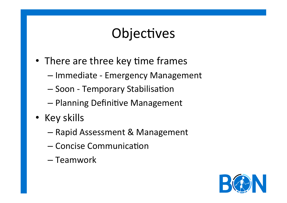## Objectives

- There are three key time frames
	- Immediate - Emergency Management
	- Soon Temporary Stabilisation
	- Planning Definitive Management
- Key skills
	- Rapid Assessment & Management
	- Concise Communication
	- Teamwork

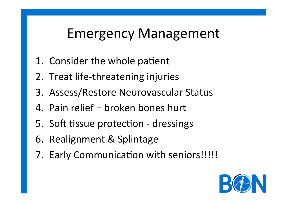## Emergency Management

- 1. Consider the whole patient
- 2. Treat life-threatening injuries
- 3. Assess/Restore Neurovascular Status
- 4. Pain relief broken bones hurt
- 5. Soft tissue protection dressings
- 6. Realignment & Splintage
- 7. Early Communication with seniors!!!!!

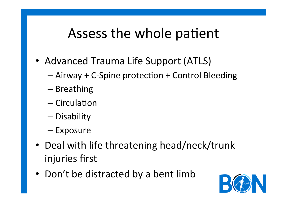## Assess the whole patient

- Advanced Trauma Life Support (ATLS)
	- $-$  Airway + C-Spine protection + Control Bleeding
	- Breathing
	- $-$  Circulation
	- Disability
	- Exposure
- Deal with life threatening head/neck/trunk injuries first
- Don't be distracted by a bent limb

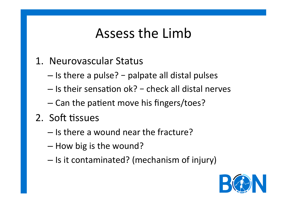## Assess the Limb

#### 1. Neurovascular Status

- $-$  Is there a pulse? palpate all distal pulses
- $-$  Is their sensation ok? check all distal nerves
- $-$  Can the patient move his fingers/toes?
- 2. Soft tissues
	- $-$  Is there a wound near the fracture?
	- $-$  How big is the wound?
	- Is it contaminated? (mechanism of injury)

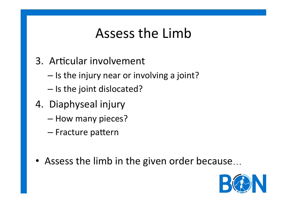## Assess the Limb

- 3. Articular involvement
	- $-$  Is the injury near or involving a joint?
	- $-$  Is the joint dislocated?
- 4. Diaphyseal injury
	- How many pieces?
	- Fracture pattern
- Assess the limb in the given order because...

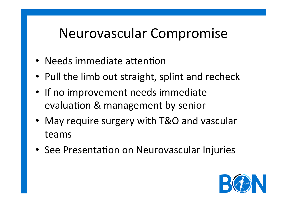## Neurovascular Compromise

- Needs immediate attention
- Pull the limb out straight, splint and recheck
- If no improvement needs immediate evaluation & management by senior
- May require surgery with T&O and vascular teams
- See Presentation on Neurovascular Injuries

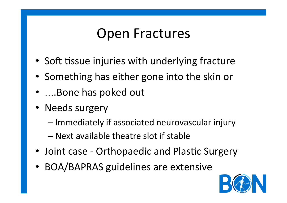## **Open Fractures**

- Soft tissue injuries with underlying fracture
- Something has either gone into the skin or
- ....Bone has poked out
- Needs surgery
	- $-$  Immediately if associated neurovascular injury
	- $-$  Next available theatre slot if stable
- Joint case Orthopaedic and Plastic Surgery
- BOA/BAPRAS guidelines are extensive

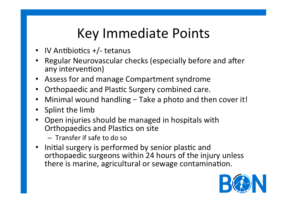## Key Immediate Points

- IV Antibiotics  $+/-$  tetanus
- Regular Neurovascular checks (especially before and after any intervention)
- Assess for and manage Compartment syndrome
- Orthopaedic and Plastic Surgery combined care.
- Minimal wound handling Take a photo and then cover it!
- Splint the limb
- Open injuries should be managed in hospitals with Orthopaedics and Plastics on site
	- $-$  Transfer if safe to do so
- Initial surgery is performed by senior plastic and orthopaedic surgeons within 24 hours of the injury unless there is marine, agricultural or sewage contamination.

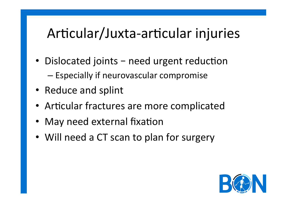## Articular/Juxta-articular injuries

- Dislocated joints need urgent reduction  $-$  Especially if neurovascular compromise
- Reduce and splint
- Articular fractures are more complicated
- May need external fixation
- Will need a CT scan to plan for surgery

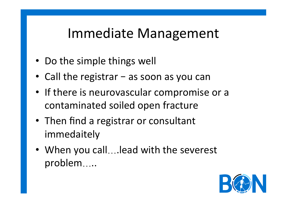## Immediate Management

- Do the simple things well
- Call the registrar  $-$  as soon as you can
- If there is neurovascular compromise or a contaminated soiled open fracture
- Then find a registrar or consultant immedaitely
- When you call....lead with the severest problem…..

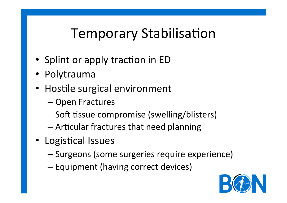## **Temporary Stabilisation**

- Splint or apply traction in ED
- Polytrauma
- Hostile surgical environment
	- Open Fractures
	- Soft tissue compromise (swelling/blisters)
	- $-$  Articular fractures that need planning
- Logistical Issues
	- Surgeons (some surgeries require experience)
	- $-$  Equipment (having correct devices)

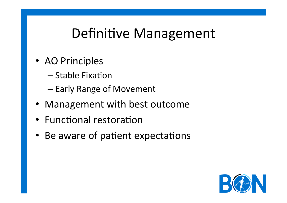## Definitive Management

- AO Principles
	- $-$  Stable Fixation
	- Early Range of Movement
- Management with best outcome
- Functional restoration
- Be aware of patient expectations

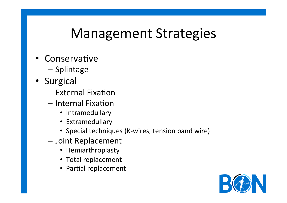## **Management Strategies**

- Conservative
	- Splintage
- Surgical
	- $-$  External Fixation
	- Internal Fixation
		- Intramedullary
		- Extramedullary
		- Special techniques (K-wires, tension band wire)
	- Joint Replacement
		- Hemiarthroplasty
		- Total replacement
		- Partial replacement

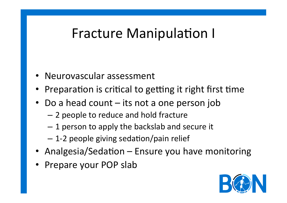## Fracture Manipulation I

- Neurovascular assessment
- Preparation is critical to getting it right first time
- Do a head count  $-$  its not a one person job
	- 2 people to reduce and hold fracture
	- $-1$  person to apply the backslab and secure it
	- $-$  1-2 people giving sedation/pain relief
- Analgesia/Sedation Ensure you have monitoring
- Prepare your POP slab

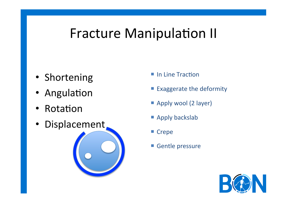## Fracture Manipulation II

- Shortening
- Angulation
- Rotation
- Displacement
- $\blacksquare$  In Line Traction
- Exaggerate the deformity
- **Apply wool (2 layer)**
- **E** Apply backslab
- Crepe
- Gentle pressure

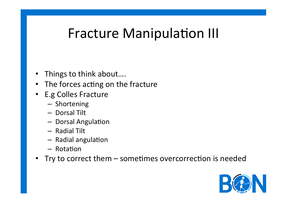## Fracture Manipulation III

- Things to think about....
- The forces acting on the fracture
- E.g Colles Fracture
	- Shortening
	- Dorsal Tilt
	- Dorsal Angulation
	- Radial Tilt
	- Radial angulation
	- Rotation
- Try to correct them sometimes overcorrection is needed

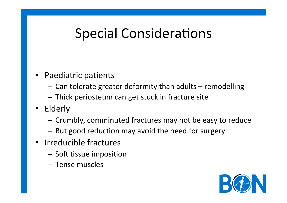## Special Considerations

- Paediatric patients
	- $-$  Can tolerate greater deformity than adults  $-$  remodelling
	- $-$  Thick periosteum can get stuck in fracture site
- Elderly
	- $-$  Crumbly, comminuted fractures may not be easy to reduce
	- $-$  But good reduction may avoid the need for surgery
- Irreducible fractures
	- $-$  Soft tissue imposition
	- Tense muscles

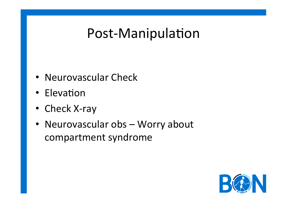## Post-Manipulation

- Neurovascular Check
- Elevation
- Check X-ray
- Neurovascular obs Worry about compartment syndrome

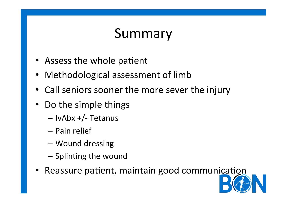## Summary

- Assess the whole patient
- Methodological assessment of limb
- Call seniors sooner the more sever the injury
- Do the simple things
	- $-$  IvAbx  $+/-$  Tetanus
	- Pain relief
	- Wound dressing
	- Splinting the wound
- Reassure patient, maintain good communication